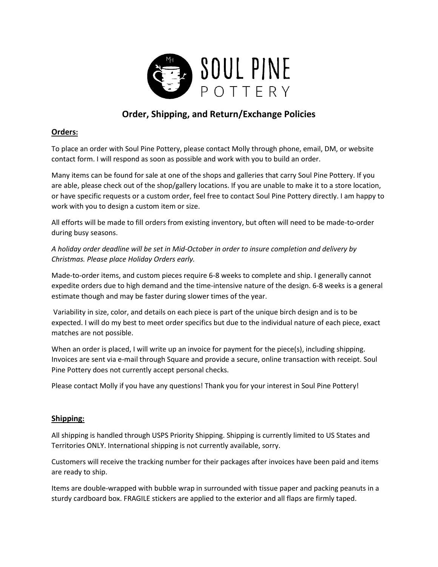

# **Order, Shipping, and Return/Exchange Policies**

## **Orders:**

To place an order with Soul Pine Pottery, please contact Molly through phone, email, DM, or website contact form. I will respond as soon as possible and work with you to build an order.

Many items can be found for sale at one of the shops and galleries that carry Soul Pine Pottery. If you are able, please check out of the shop/gallery locations. If you are unable to make it to a store location, or have specific requests or a custom order, feel free to contact Soul Pine Pottery directly. I am happy to work with you to design a custom item or size.

All efforts will be made to fill orders from existing inventory, but often will need to be made-to-order during busy seasons.

*A holiday order deadline will be set in Mid-October in order to insure completion and delivery by Christmas. Please place Holiday Orders early.*

Made-to-order items, and custom pieces require 6-8 weeks to complete and ship. I generally cannot expedite orders due to high demand and the time-intensive nature of the design. 6-8 weeks is a general estimate though and may be faster during slower times of the year.

Variability in size, color, and details on each piece is part of the unique birch design and is to be expected. I will do my best to meet order specifics but due to the individual nature of each piece, exact matches are not possible.

When an order is placed, I will write up an invoice for payment for the piece(s), including shipping. Invoices are sent via e-mail through Square and provide a secure, online transaction with receipt. Soul Pine Pottery does not currently accept personal checks.

Please contact Molly if you have any questions! Thank you for your interest in Soul Pine Pottery!

### **Shipping:**

All shipping is handled through USPS Priority Shipping. Shipping is currently limited to US States and Territories ONLY. International shipping is not currently available, sorry.

Customers will receive the tracking number for their packages after invoices have been paid and items are ready to ship.

Items are double-wrapped with bubble wrap in surrounded with tissue paper and packing peanuts in a sturdy cardboard box. FRAGILE stickers are applied to the exterior and all flaps are firmly taped.